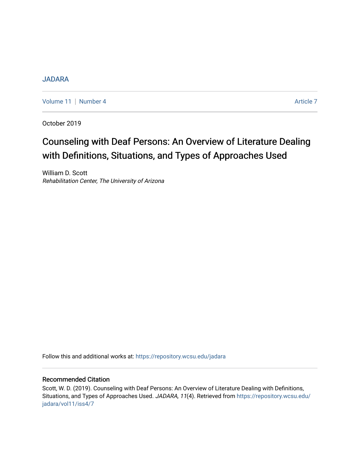# [JADARA](https://repository.wcsu.edu/jadara)

[Volume 11](https://repository.wcsu.edu/jadara/vol11) [Number 4](https://repository.wcsu.edu/jadara/vol11/iss4) Article 7

October 2019

# Counseling with Deaf Persons: An Overview of Literature Dealing with Definitions, Situations, and Types of Approaches Used

William D. Scott Rehabilitation Center, The University of Arizona

Follow this and additional works at: [https://repository.wcsu.edu/jadara](https://repository.wcsu.edu/jadara?utm_source=repository.wcsu.edu%2Fjadara%2Fvol11%2Fiss4%2F7&utm_medium=PDF&utm_campaign=PDFCoverPages)

# Recommended Citation

Scott, W. D. (2019). Counseling with Deaf Persons: An Overview of Literature Dealing with Definitions, Situations, and Types of Approaches Used. JADARA, 11(4). Retrieved from [https://repository.wcsu.edu/](https://repository.wcsu.edu/jadara/vol11/iss4/7?utm_source=repository.wcsu.edu%2Fjadara%2Fvol11%2Fiss4%2F7&utm_medium=PDF&utm_campaign=PDFCoverPages) [jadara/vol11/iss4/7](https://repository.wcsu.edu/jadara/vol11/iss4/7?utm_source=repository.wcsu.edu%2Fjadara%2Fvol11%2Fiss4%2F7&utm_medium=PDF&utm_campaign=PDFCoverPages)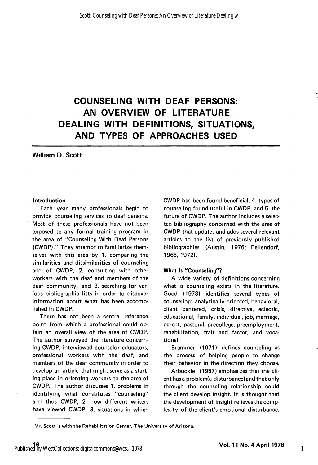# COUNSELING WITH DEAF PERSONS: AN OVERVIEW OF LITERATURE DEALING WITH DEFINITIONS, SITUATIONS, AND TYPES OF APPROACHES USED

# William D. Scott

#### Introduction

Each year many professionals begin to provide counseling services to deaf persons. Most of these professionals have not been exposed to any formal training program in the area of "Counseling With Deaf Persons (CWDP)." They attempt to familiarize them selves with this area by 1. comparing the similarities and dissimilarities of counseling and of CWDP, 2. consulting with other workers with the deaf and members of the deaf community, and 3. searching for var ious bibliographic lists in order to discover information about what has been accomp lished in CWDP.

There has not been a central reference point from which a professional could ob tain an overall view of the area of CWDP. The author surveyed the literature concern ing CWDP, interviewed counselor educators, professional workers with the deaf, and members of the deaf community in order to develop an article that might serve as a start ing place in orienting workers to the area of CWDP. The author discusses 1. problems in identifying what constitutes "counseling" and thus CWDP, 2. how different writers have viewed CWDP, 3. situations in which

CWDP has been found beneficial, 4. types of counseling found useful in CWDP, and 5. the future of CWDP. The author includes a selec ted bibliography concerned with the area of CWDP that updates and adds several relevant articles to the list of previously published bibliographies (Austin, 1976; Fellendorf, 1965, 1972).

#### What Is "Counseling"?

A wide variety of definitions concerning what is counseling exists in the literature. Good (1973) identifies several types of counseling: analytically-oriented, behavioral, client centered, crisis, directive, eclectic, educational, family, individual, job, marriage, parent, pastoral, precollege, preemployment, rehabilitation, trait and factor, and voca tional.

Brammer (1971) defines counseling as the process of helping people to change their behavior in the direction they choose.

Arbuckle (1957) emphasizes that the cli ent has a problem(a disturbance)and that only through the counseling relationship could the client develop insight. It is thought that the development of insight relieves the comp lexity of the client's emotional disturbance.

Mr. Scott is with the Rehabilitation Center, The University of Arizona.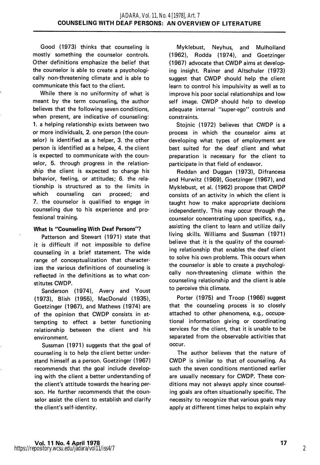Good (1973) thinks that counseling is mostly something the counselor controls. Other definitions emphasize the belief that the counselor is able to create a psychologi cally non-threatening climate and is able to communicate this fact to the client.

While there is no uniformity of what is meant by the term counseling, the author believes that the following seven conditions, when present, are indicative of counseling: 1. a helping relationship exists between two or more individuals, 2. one person (the coun selor) is identified as a helper. 3, the other person is identified as a helpee, 4. the client is expected to communicate with the coun selor. 5. through progress in the relationship the client is expected to change his behavior, feeling, or attitudes; 6. the rela tionship is structured as to the limits in which counseling can proceed; and 7. the counselor is qualified to engage in counseling due to his experience and pro fessional training.

#### What Is "Counseling With Deaf Persons"?

Patterson and Stewart (1971) state that it is difficult if not impossible to define counseling in a brief statement. The wide range of conceptualization that character izes the various definitions of counseling is reflected in the definitions as to what con stitutes CWDP.

Sanderson (1974), Avery and Youst (1973), Blish (1955), MacDonald (1935), Goetzinger (1967), and Mathews (1974) are of the opinion that CWDP consists in at tempting to effect a better functioning relationship between the client and his environment.

Sussman (1971) suggests that the goal of counseling is to help the client better under stand himself as a person. Goetzinger (1967) recommends that the goal include develop ing with the client a better understanding of the client's attitude towards the hearing per son. He further recommends that the coun selor assist the client to establish and clarify the client's self-identity.

Myklebust, Neyhus, and Mulholland (1962), Rodda (1974), and Goetzinger (1967) advocate that CWDP aims at develop ing insight. Rainer and Altschuler (1973) suggest that CWDP should help the client learn to control his impulsivity as well as to improve his poor social relationships and low self image. CWDP should help to develop adequate internal "super-ego" controls and constraints.

Stoinic (1972) believes that CWDP is a process in which the counselor aims at developing what types of employment are best suited for the deaf client and what preparation is necessary for the client to participate in that field of endeavor.

Reddan and Duggan (1973), Difrancesa and Hurwitz (1969), Goetzinger (1967), and Myklebust, et al. (1962) propose that CWDP consists of an activity in which the client is taught how to make appropriate decisions independently. This may occur through the counselor concentrating upon specifics, e.g., assisting the client to learn and utilize daily living skills. Williams and Sussman (1971) believe that it is the quality of the counseling relationship that enables the deaf client to solve his own problems. This occurs when the counselor is able to create a psychologi cally non-threatening climate within the counseling relationship and the client is able to perceive this climate.

Porter (1975) and Troop (1966) suggest that the counseling process is so closely attached to other phenomena, e.g., occupa tional information giving or coordinating services for the client, that it is unable to be separated from the observable activities that occur.

The author believes that the nature of CWDP is similar to that of counseling. As such the seven conditions mentioned earlier are usually necessary for CWDP. These con ditions may not always apply since counsel ing goals are often situationally specific. The necessity to recognize that various goals may apply at different times helps to explain why

2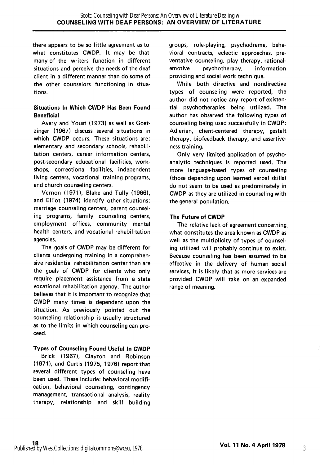there appears to be so little agreement as to what constitutes CWDP. It may be that many of the writers function in different situations and perceive the needs of the deaf client in a different manner than do some of the other counselors functioning in situa tions.

#### Situations In Which CWDP Has Been Found Beneficial

Avery and Youst (1973) as well as Goetzinger (1967) discuss several situations in which CWDP occurs. These situations are: elementary and secondary schools, rehabili tation centers, career information centers, post-secondary educational facilities, work shops, correctional facilities, independent living centers, vocational training programs, and church counseling centers.

Vernon (1971), Blake and Tully (1966), and Elliot (1974) identify other situations: marriage counseling centers, parent counsel ing programs, family counseling centers, employment offices, community mental health centers, and vocational rehabilitation agencies.

The goals of CWDP may be different for clients undergoing training in a comprehen sive residential rehabilitation center than are the goals of CWDP for clients who only require placement assistance from a state vocational rehabilitation agency. The author believes that it is important to recognize that CWDP many times is dependent upon the situation. As previously pointed out the counseling relationship is usually structured as to the limits in which counseling can pro ceed.

#### Types of Counseling Found Useful In CWDP

Brick (1967), Clayton and Robinson (1971), and Curtis (1975, 1976) report that several different types of counseling have been used. These include: behavioral modifi cation, behavioral counseling, contingency management, transactional analysis, reality therapy, relationship and skill building groups, role-playing, psychodrama, beha vioral contracts, eclectic approaches, preventative counseling, play therapy, rationalemotive psychotherapy, information providing and social work technique.

While both directive and nandirective types of counseling were reported, the author did not notice any report of existen tial psychotherapies being utilized. The author has observed the following types of counseling being used successfully in CWDP: Adlerian, client-centered therapy, gestalt therapy, biofeedback therapy, and assertiveness training.

Only very limited application of psycho analytic techniques is reported used. The more language-based types of counseling (those depending upon learned verbal skills) do not seem to be used as predominately in CWDP as they are utilized in counseling with the general population.

#### The Future of CWDP

The relative lack of agreement concerning, what constitutes the area known as CWDP as well as the multiplicity of types of counsel ing utilized will probably continue to exist. Because counseling has been assumed to be effective in the delivery of human social services, it is likely that as more services are provided CWDP will take on an expanded range of meaning.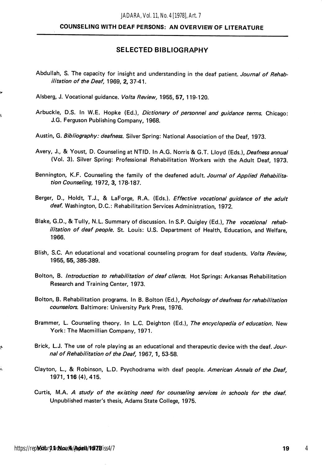## COUNSELING WITH DEAF PERSONS: AN OVERVIEW OF LITERATURE

#### SELECTED BIBLIOGRAPHY

- Abdullah, S. The capacity for insight and understanding in the deaf patient. Journal of Rehabilitation of the Deaf, 1969, 2, 37-41.
- Alsberg, J. Vocational guidance. Volta Review, 1955, 57, 119-120.
- Arbuckle, D.S. In W.E. Hopke (Ed.), Dictionary of personnel and guidance terms. Chicago: J.G. Ferguson Publishing Company, 1968.
- Austin, G. Bibliography: deafness. Silver Spring: National Association of the Deaf, 1973.
- Avery, J., & Youst, D. Counseling at NTID. In A.G. Norris & G.T. Lloyd (Eds.), *Deafness annual* (Vol. 3). Silver Spring: Professional Rehabilitation Workers with the Adult Deaf, 1973.
- Bennington, K.F. Counseling the family of the deafened adult. Journal of Applied Rehabilitation Counseling, 1972, 3, 178-187.
- Berger, D., Holdt, T.J., & LaForge, R.A. (Eds.). Effective vocational guidance of the adult deaf. Washington, D.C.: Rehabilitation Services Administration, 1972.
- Blake, G.D., & Tully, N.L. Summary of discussion. In S.P. Quigley (Ed.), The vocational rehabilitation of deaf people. St. Louis: U.S. Department of Health, Education, and Welfare, 1966.
- Blish, S.C. An educational and vocational counseling program for deaf students. Volta Review, 1955, 55, 385-389.
- Bolton, B. Introduction to rehabilitation of deaf clients. Hot Springs: Arkansas Rehabilitation Research and Training Center, 1973.
- Bolton, B. Rehabilitation programs. In B. Bolton (Ed.), Psychology of deafness for rehabilitation counselors. Baltimore: University Park Press, 1976.
- Brammer, L. Counseling theory. In L.C. Deighton (Ed.), The encyclopedia of education. New York: The Macmillian Company, 1971.
- Brick, L.J. The use of role playing as an educational and therapeutic device with the deaf. Journal of Rehabilitation of the Deaf, 1967, 1, 53-58.
- Clayton, L., & Robinson, L.D. Psychodrama with deaf people. American Annals of the Deaf, 1971,116 (4), 415.
- Curtis, M.A. A study of the existing need for counseling services in schools for the deaf. Unpublished master's thesis, Adams State College, 1975.

ę.

į,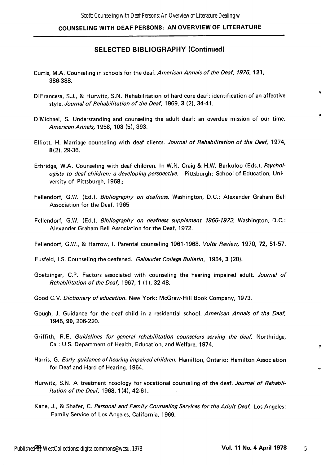#### SELECTED BIBLIOGRAPHY (Continued)

- Curtis, M.A. Counseling in schools for the deaf. American Annals of the Deaf, 1976, 121, 386-388.
- DiFrancesa, S.J., & Hurwitz, S.N. Rehabilitation of hard core deaf: identification of an affective style. Journal of Rehabilitation of the Deaf, 1969, 3 (2), 34-41.
- DiMichael, S. Understanding and counseling the adult deaf: an overdue mission of our time. American Annals, 1958, 103 (5), 393.
- Elliott, H. Marriage counseling with deaf clients. Journal of Rehabilitation of the Deaf, 1974, 8(2), 29-36.
- Ethridge, W.A. Counseling with deaf children. In W.N. Craig & H.W. Barkuloo (Eds.), Psychologists to deaf children: a developing perspective. Pittsburgh: School of Education, University of Pittsburgh, 1968.;
- Fellendorf, G.W. (Ed.). Bibliography on deafness. Washington, D.C.: Alexander Graham Bell Association for the Deaf, 1965
- Fellendorf, G.W. (Ed.). Bibliography on deafness supplement 1966-1972. Washington, D.C.: Alexander Graham Bell Association for the Deaf, 1972.
- Fellendorf, G.W., & Harrow, I. Parental counseling 1961-1968. Volta Review, 1970, 72, 51-57.
- Fusfeld, I.S. Counseling the deafened. Gallaudet College Bulletin, 1954, 3 (20).
- Goetzinger, C.P. Factors associated with counseling the hearing impaired adult. Journal of Rehabilitation of the Deaf, 1967, 1 (1), 32-48.
- Good C.V. Dictionary of education. New York: McGraw-Hill Book Company, 1973.
- Gough, J. Guidance for the deaf child in a residential school. American Annals of the Deaf, 1945, 90, 206-220.
- Griffith, R.E. Guidelines for general rehabilitation counselors serving the deaf. Northridge, Ca.: U.S. Department of Health, Education, and Welfare, 1974.
- Harris, G. Early guidance of hearing impaired children. Hamilton, Ontario: Hamilton Association for Deaf and Hard of Hearing, 1964.
- Hurwitz, S.N. A treatment nosology for vocational counseling of the deaf. Journal of Rehabilitation of the Deaf, 1968, 1(4), 42-61.
- Kane, J., & Shafer, C. Personal and Family Counseling Services for the Adult Deaf. Los Angeles: Family Service of Los Angeles, California, 1969.

ō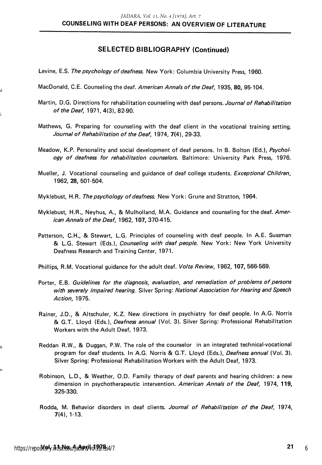## SELECTED BIBLIOGRAPHY (Continued)

- Levine, E.S. The psychology of deafness. New York: Columbia University Press, 1960.
- MacDonald, C.E. Counseling the deaf. American Annals of the Deaf, 1935, 80, 95-104.
- Martin, D.G. Directions for rehabilitation counseling with deaf persons. Journal of Rehabilitation of the Deaf, 1971, 4(3), 82-90.
- Mathews, G. Preparing for counseling with the deaf client in the vocational training setting. Journal of Rehabilitation of the Deaf, 1974, 7(4), 29-33.
- Meadow, K.P. Personality and social development of deaf persons. In B. Bolton (Ed.), Psychology of deafness for rehabilitation counselors. Baltimore: University Park Press, 1976.
- Mueller, J. Vocational counseling and guidance of deaf college students. Exceptional Children, 1962, 28, 501-504.
- Myklebust, H.R. The psychology of deafness. New York: Grune and Stratton, 1964.
- Myklebust, H.R., Neyhus, A., & Mulholland, M.A. Guidance and counseling for the deaf. American Annals of the Deaf, 1962, 107, 370-415.
- Patterson, C.H., & Stewart, L.G. Principles of counseling with deaf people. In A.E. Sussman & L.G. Stewart (Eds.), Counseling with deaf people. New York: New York University Deafness Research and Training Center, 1971.
- Phillips, R.M. Vocational guidance for the adult deaf. Volta Review, 1962, 107, 566-569.
- Porter, E.B. Guidelines for the diagnosis, evaluation, and remediation of problems of persons with severely impaired hearing. Silver Spring: National Association for Hearing and Speech Action, 1975.
- Rainer, J.D., & Altschuler, K.Z. New directions in psychiatry for deaf people. In A.G. Norris & G.T. Lloyd (Eds.), Deafness annual (Vol. 3). Silver Spring: Professional Rehabilitation Workers with the Adult Deaf, 1973.
- Reddan R.W., & Duggan, P.W. The role of the counselor in an integrated technical-vocational program for deaf students. In A.G. Norris & G.T. Lloyd (Eds.), Deafness annual (Vol. 3). Silver Spring: Professional Rehabilitation Workers with the Adult Deaf, 1973.
- Robinson, L.D., & Weather, O.D. Family therapy of deaf parents and hearing children: a new dimension in psychotherapeutic intervention. American Annals of the Deaf, 1974, 119, 325-330.
- Rodda, M. Behavior disorders in deaf clients. Journal of Rehabilitation of the Deaf, 1974, 7(4), 1-13.